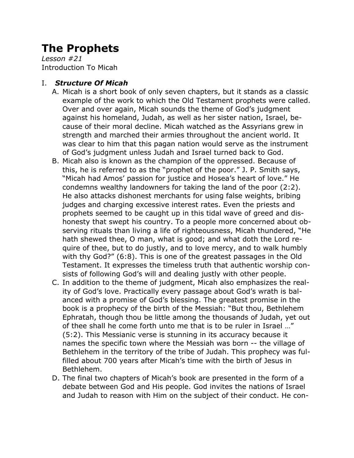# **The Prophets**

*Lesson #21* Introduction To Micah

### I. *Structure Of Micah*

- A. Micah is a short book of only seven chapters, but it stands as a classic example of the work to which the Old Testament prophets were called. Over and over again, Micah sounds the theme of God's judgment against his homeland, Judah, as well as her sister nation, Israel, because of their moral decline. Micah watched as the Assyrians grew in strength and marched their armies throughout the ancient world. It was clear to him that this pagan nation would serve as the instrument of God's judgment unless Judah and Israel turned back to God.
- B. Micah also is known as the champion of the oppressed. Because of this, he is referred to as the "prophet of the poor." J. P. Smith says, "Micah had Amos' passion for justice and Hosea's heart of love." He condemns wealthy landowners for taking the land of the poor (2:2). He also attacks dishonest merchants for using false weights, bribing judges and charging excessive interest rates. Even the priests and prophets seemed to be caught up in this tidal wave of greed and dishonesty that swept his country. To a people more concerned about observing rituals than living a life of righteousness, Micah thundered, "He hath shewed thee, O man, what is good; and what doth the Lord require of thee, but to do justly, and to love mercy, and to walk humbly with thy God?" (6:8). This is one of the greatest passages in the Old Testament. It expresses the timeless truth that authentic worship consists of following God's will and dealing justly with other people.
- C. In addition to the theme of judgment, Micah also emphasizes the reality of God's love. Practically every passage about God's wrath is balanced with a promise of God's blessing. The greatest promise in the book is a prophecy of the birth of the Messiah: "But thou, Bethlehem Ephratah, though thou be little among the thousands of Judah, yet out of thee shall he come forth unto me that is to be ruler in Israel …" (5:2). This Messianic verse is stunning in its accuracy because it names the specific town where the Messiah was born -- the village of Bethlehem in the territory of the tribe of Judah. This prophecy was fulfilled about 700 years after Micah's time with the birth of Jesus in Bethlehem.
- D. The final two chapters of Micah's book are presented in the form of a debate between God and His people. God invites the nations of Israel and Judah to reason with Him on the subject of their conduct. He con-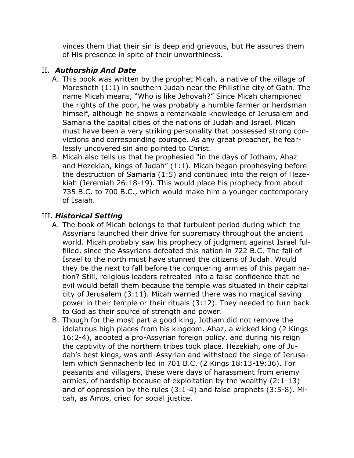vinces them that their sin is deep and grievous, but He assures them of His presence in spite of their unworthiness.

## II. *Authorship And Date*

- A. This book was written by the prophet Micah, a native of the village of Moresheth (1:1) in southern Judah near the Philistine city of Gath. The name Micah means, "Who is like Jehovah?" Since Micah championed the rights of the poor, he was probably a humble farmer or herdsman himself, although he shows a remarkable knowledge of Jerusalem and Samaria the capital cities of the nations of Judah and Israel. Micah must have been a very striking personality that possessed strong convictions and corresponding courage. As any great preacher, he fearlessly uncovered sin and pointed to Christ.
- B. Micah also tells us that he prophesied "in the days of Jotham, Ahaz and Hezekiah, kings of Judah" (1:1). Micah began prophesying before the destruction of Samaria (1:5) and continued into the reign of Hezekiah (Jeremiah 26:18-19). This would place his prophecy from about 735 B.C. to 700 B.C., which would make him a younger contemporary of Isaiah.

### III. *Historical Setting*

- A. The book of Micah belongs to that turbulent period during which the Assyrians launched their drive for supremacy throughout the ancient world. Micah probably saw his prophecy of judgment against Israel fulfilled, since the Assyrians defeated this nation in 722 B.C. The fall of Israel to the north must have stunned the citizens of Judah. Would they be the next to fall before the conquering armies of this pagan nation? Still, religious leaders retreated into a false confidence that no evil would befall them because the temple was situated in their capital city of Jerusalem (3:11). Micah warned there was no magical saving power in their temple or their rituals (3:12). They needed to turn back to God as their source of strength and power.
- B. Though for the most part a good king, Jotham did not remove the idolatrous high places from his kingdom. Ahaz, a wicked king (2 Kings 16:2-4), adopted a pro-Assyrian foreign policy, and during his reign the captivity of the northern tribes took place. Hezekiah, one of Judah's best kings, was anti-Assyrian and withstood the siege of Jerusalem which Sennacherib led in 701 B.C. (2 Kings 18:13-19:36). For peasants and villagers, these were days of harassment from enemy armies, of hardship because of exploitation by the wealthy (2:1-13) and of oppression by the rules (3:1-4) and false prophets (3:5-8). Micah, as Amos, cried for social justice.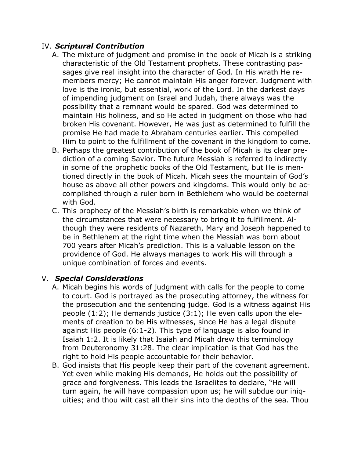#### IV. *Scriptural Contribution*

- A. The mixture of judgment and promise in the book of Micah is a striking characteristic of the Old Testament prophets. These contrasting passages give real insight into the character of God. In His wrath He remembers mercy; He cannot maintain His anger forever. Judgment with love is the ironic, but essential, work of the Lord. In the darkest days of impending judgment on Israel and Judah, there always was the possibility that a remnant would be spared. God was determined to maintain His holiness, and so He acted in judgment on those who had broken His covenant. However, He was just as determined to fulfill the promise He had made to Abraham centuries earlier. This compelled Him to point to the fulfillment of the covenant in the kingdom to come.
- B. Perhaps the greatest contribution of the book of Micah is its clear prediction of a coming Savior. The future Messiah is referred to indirectly in some of the prophetic books of the Old Testament, but He is mentioned directly in the book of Micah. Micah sees the mountain of God's house as above all other powers and kingdoms. This would only be accomplished through a ruler born in Bethlehem who would be coeternal with God.
- C. This prophecy of the Messiah's birth is remarkable when we think of the circumstances that were necessary to bring it to fulfillment. Although they were residents of Nazareth, Mary and Joseph happened to be in Bethlehem at the right time when the Messiah was born about 700 years after Micah's prediction. This is a valuable lesson on the providence of God. He always manages to work His will through a unique combination of forces and events.

#### V. *Special Considerations*

- A. Micah begins his words of judgment with calls for the people to come to court. God is portrayed as the prosecuting attorney, the witness for the prosecution and the sentencing judge. God is a witness against His people (1:2); He demands justice (3:1); He even calls upon the elements of creation to be His witnesses, since He has a legal dispute against His people (6:1-2). This type of language is also found in Isaiah 1:2. It is likely that Isaiah and Micah drew this terminology from Deuteronomy 31:28. The clear implication is that God has the right to hold His people accountable for their behavior.
- B. God insists that His people keep their part of the covenant agreement. Yet even while making His demands, He holds out the possibility of grace and forgiveness. This leads the Israelites to declare, "He will turn again, he will have compassion upon us; he will subdue our iniquities; and thou wilt cast all their sins into the depths of the sea. Thou